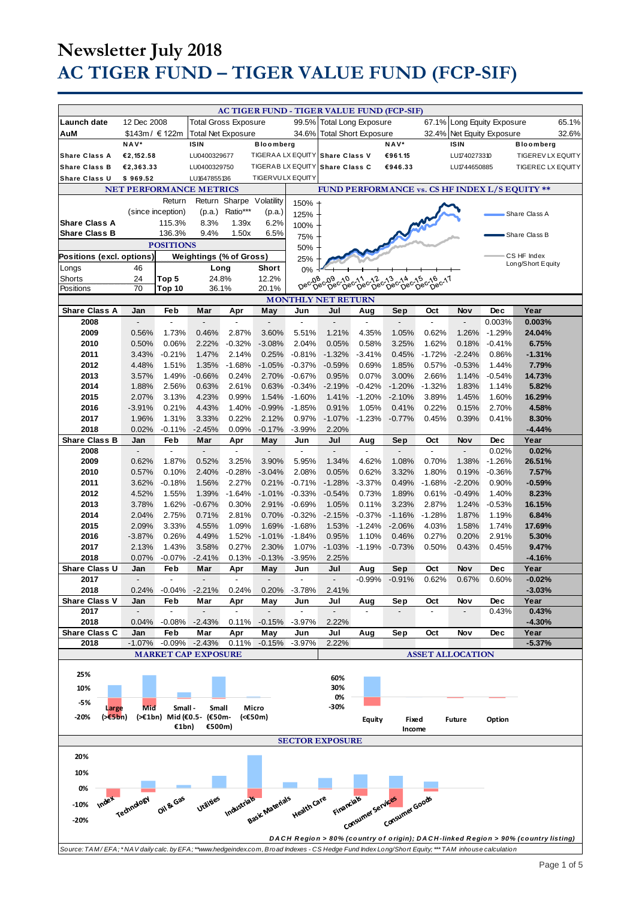|                                                                                                                                                |                                 |                                 |                                 |                                 |                                 |                                 | AC TIGER FUND - TIGER VALUE FUND (FCP-SIF)          |                      |                                                  |                                 |                |                      |                                                                                   |
|------------------------------------------------------------------------------------------------------------------------------------------------|---------------------------------|---------------------------------|---------------------------------|---------------------------------|---------------------------------|---------------------------------|-----------------------------------------------------|----------------------|--------------------------------------------------|---------------------------------|----------------|----------------------|-----------------------------------------------------------------------------------|
| Launch date                                                                                                                                    | 12 Dec 2008                     |                                 | <b>Total Gross Exposure</b>     |                                 |                                 |                                 | 99.5% Total Long Exposure                           |                      |                                                  | 67.1%                           |                | Long Equity Exposure | 65.1%                                                                             |
| AuM                                                                                                                                            | \$143m / € 122m                 |                                 | <b>Total Net Exposure</b>       |                                 |                                 | 34.6%                           | <b>Total Short Exposure</b>                         |                      |                                                  | 32.4%                           |                | Net Equity Exposure  | 32.6%                                                                             |
|                                                                                                                                                | NAV*                            |                                 | <b>ISIN</b>                     |                                 | <b>Bloomberg</b>                |                                 |                                                     |                      | NAV*                                             |                                 | <b>ISIN</b>    |                      | <b>Bloomberg</b>                                                                  |
| <b>Share Class A</b>                                                                                                                           | €2,152.58                       |                                 | LU0400329677                    |                                 |                                 |                                 | TIGERAA LX EQUITY Share Class V                     |                      | €961.15                                          |                                 | LU1740273310   |                      | <b>TIGEREV LX EQUITY</b>                                                          |
| <b>Share Class B</b>                                                                                                                           | €2,363.33                       |                                 | LU0400329750                    |                                 | TIGERAB LX EQUITY               |                                 | <b>Share Class C</b>                                |                      | €946.33                                          |                                 | LU1744650885   |                      | <b>TIGEREC LX EQUITY</b>                                                          |
| <b>Share Class U</b>                                                                                                                           | \$969.52                        |                                 | LU1647855136                    |                                 | <b>TIGERVULX EQUITY</b>         |                                 |                                                     |                      |                                                  |                                 |                |                      |                                                                                   |
| FUND PERFORMANCE vs. CS HF INDEX L/S EQUITY **<br><b>NET PERFORMANCE METRICS</b>                                                               |                                 |                                 |                                 |                                 |                                 |                                 |                                                     |                      |                                                  |                                 |                |                      |                                                                                   |
|                                                                                                                                                |                                 | Return                          |                                 | Return Sharpe Volatility        |                                 | 150%                            |                                                     |                      |                                                  |                                 |                |                      |                                                                                   |
|                                                                                                                                                |                                 | (since inception)               | (p.a.)                          | Ratio***                        | (p.a.)                          | 125%                            |                                                     |                      |                                                  |                                 |                |                      | Share Class A                                                                     |
| <b>Share Class A</b>                                                                                                                           |                                 | 115.3%                          | 8.3%                            | 1.39x                           | 6.2%                            | 100%                            |                                                     |                      |                                                  |                                 |                |                      |                                                                                   |
| <b>Share Class B</b>                                                                                                                           |                                 | 136.3%                          | 9.4%                            | 1.50x                           | 6.5%                            | 75%                             |                                                     |                      |                                                  |                                 |                |                      | Share Class B                                                                     |
|                                                                                                                                                |                                 | <b>POSITIONS</b>                |                                 |                                 |                                 | 50%                             |                                                     |                      |                                                  |                                 |                |                      |                                                                                   |
| Positions (excl. options)                                                                                                                      |                                 |                                 | <b>Weightings (% of Gross)</b>  |                                 |                                 | 25%                             |                                                     |                      |                                                  |                                 |                |                      | CS HF Index                                                                       |
| Longs                                                                                                                                          | 46                              |                                 | Long                            |                                 | <b>Short</b>                    | $0\%$                           |                                                     |                      |                                                  |                                 |                |                      | Long/Short Equity                                                                 |
| <b>Shorts</b>                                                                                                                                  | 24                              | Top 5                           | 24.8%                           |                                 | 12.2%                           |                                 | Dec-08c-08c-10c-11cc-12<br>Dec-08c-09c-10c-11cc-12c |                      | 12 013 014 015 016 017<br>Dec Dec Dec Dec Dec 17 |                                 |                |                      |                                                                                   |
| Positions                                                                                                                                      | 70                              | Top 10                          | 36.1%                           |                                 | 20.1%                           |                                 |                                                     |                      |                                                  |                                 |                |                      |                                                                                   |
| <b>Share Class A</b>                                                                                                                           | Jan                             | Feb                             | Mar                             | Apr                             | May                             | Jun                             | <b>MONTHLY NET RETURN</b><br>Jul                    | Aug                  | Sep                                              | Oct                             | <b>Nov</b>     | <b>Dec</b>           | Year                                                                              |
| 2008                                                                                                                                           |                                 |                                 |                                 |                                 |                                 |                                 |                                                     |                      |                                                  |                                 |                | 0.003%               | 0.003%                                                                            |
| 2009                                                                                                                                           | 0.56%                           | 1.73%                           | 0.46%                           | 2.87%                           | 3.60%                           | 5.51%                           | 1.21%                                               | 4.35%                | 1.05%                                            | 0.62%                           | 1.26%          | $-1.29%$             | 24.04%                                                                            |
| 2010                                                                                                                                           | 0.50%                           | 0.06%                           | 2.22%                           | $-0.32%$                        | $-3.08%$                        | 2.04%                           | 0.05%                                               | 0.58%                | 3.25%                                            | 1.62%                           | 0.18%          | $-0.41%$             | 6.75%                                                                             |
| 2011                                                                                                                                           | 3.43%                           | $-0.21%$                        | 1.47%                           | 2.14%                           | 0.25%                           | $-0.81%$                        | $-1.32%$                                            | $-3.41%$             | 0.45%                                            | $-1.72%$                        | $-2.24%$       | 0.86%                | $-1.31%$                                                                          |
| 2012                                                                                                                                           | 4.48%                           | 1.51%                           | 1.35%                           | $-1.68%$                        | $-1.05%$                        | $-0.37%$                        | $-0.59%$                                            | 0.69%                | 1.85%                                            | 0.57%                           | $-0.53%$       | 1.44%                | 7.79%                                                                             |
| 2013                                                                                                                                           | 3.57%                           | 1.49%                           | $-0.66%$                        | 0.24%                           | 2.70%                           | $-0.67%$                        | 0.95%                                               | 0.07%                | 3.00%                                            | 2.66%                           | 1.14%          | $-0.54%$             | 14.73%                                                                            |
| 2014                                                                                                                                           | 1.88%                           | 2.56%                           | 0.63%                           | 2.61%                           | 0.63%                           | $-0.34%$                        | $-2.19%$                                            | $-0.42%$             | $-1.20%$                                         | $-1.32%$                        | 1.83%          | 1.14%                | 5.82%                                                                             |
| 2015                                                                                                                                           | 2.07%                           | 3.13%                           | 4.23%                           | 0.99%                           | 1.54%                           | $-1.60%$                        | 1.41%                                               | $-1.20%$             | $-2.10%$                                         | 3.89%                           | 1.45%          | 1.60%                | 16.29%                                                                            |
| 2016                                                                                                                                           | $-3.91%$                        | 0.21%                           | 4.43%                           | 1.40%                           | $-0.99%$                        | $-1.85%$                        | 0.91%                                               | 1.05%                | 0.41%                                            | 0.22%                           | 0.15%          | 2.70%                | 4.58%                                                                             |
| 2017<br>2018                                                                                                                                   | 1.96%<br>0.02%                  | 1.31%<br>$-0.11%$               | 3.33%<br>$-2.45%$               | 0.22%<br>0.09%                  | 2.12%<br>$-0.17%$               | 0.97%<br>$-3.99%$               | $-1.07%$<br>2.20%                                   | $-1.23%$             | $-0.77%$                                         | 0.45%                           | 0.39%          | 0.41%                | 8.30%<br>$-4.44%$                                                                 |
| <b>Share Class B</b>                                                                                                                           | Jan                             | Feb                             | Mar                             | Apr                             | May                             | Jun                             | Jul                                                 | Aug                  | Sep                                              | Oct                             | <b>Nov</b>     | <b>Dec</b>           | Year                                                                              |
| 2008                                                                                                                                           |                                 | $\blacksquare$                  | $\overline{a}$                  | $\overline{a}$                  | L,                              | $\overline{a}$                  |                                                     |                      | $\overline{a}$                                   | $\overline{a}$                  |                | 0.02%                | 0.02%                                                                             |
| 2009                                                                                                                                           | 0.62%                           | 1.87%                           | 0.52%                           | 3.25%                           | 3.90%                           | 5.95%                           | 1.34%                                               | 4.62%                | 1.08%                                            | 0.70%                           | 1.38%          | $-1.26%$             | 26.51%                                                                            |
| 2010                                                                                                                                           | 0.57%                           | 0.10%                           | 2.40%                           | $-0.28%$                        | $-3.04%$                        | 2.08%                           | 0.05%                                               | 0.62%                | 3.32%                                            | 1.80%                           | 0.19%          | $-0.36%$             | 7.57%                                                                             |
| 2011                                                                                                                                           | 3.62%                           | $-0.18%$                        | 1.56%                           | 2.27%                           | 0.21%                           | $-0.71%$                        | $-1.28%$                                            | $-3.37%$             | 0.49%                                            | $-1.68%$                        | $-2.20%$       | 0.90%                | $-0.59%$                                                                          |
| 2012                                                                                                                                           | 4.52%                           | 1.55%                           | 1.39%                           | $-1.64%$                        | $-1.01%$                        | $-0.33%$                        | $-0.54%$                                            | 0.73%                | 1.89%                                            | 0.61%                           | $-0.49%$       | 1.40%                | 8.23%                                                                             |
| 2013                                                                                                                                           | 3.78%                           | 1.62%                           | $-0.67%$                        | 0.30%                           | 2.91%                           | $-0.69%$                        | 1.05%                                               | 0.11%                | 3.23%                                            | 2.87%                           | 1.24%          | $-0.53%$             | 16.15%                                                                            |
| 2014<br>2015                                                                                                                                   | 2.04%<br>2.09%                  | 2.75%<br>3.33%                  | 0.71%<br>4.55%                  | 2.81%<br>1.09%                  | 0.70%<br>1.69%                  | $-0.32%$<br>$-1.68%$            | $-2.15%$<br>1.53%                                   | $-0.37%$<br>$-1.24%$ | $-1.16%$<br>$-2.06%$                             | $-1.28%$<br>4.03%               | 1.87%<br>1.58% | 1.19%<br>1.74%       | 6.84%<br>17.69%                                                                   |
| 2016                                                                                                                                           | $-3.87%$                        | 0.26%                           | 4.49%                           | 1.52%                           | $-1.01%$                        | $-1.84%$                        | 0.95%                                               | 1.10%                | 0.46%                                            | 0.27%                           | 0.20%          | 2.91%                | 5.30%                                                                             |
| 2017                                                                                                                                           | 2.13%                           | 1.43%                           | 3.58%                           | 0.27%                           | 2.30%                           | 1.07%                           | $-1.03%$                                            | $-1.19%$             | $-0.73%$                                         | 0.50%                           | 0.43%          | 0.45%                | 9.47%                                                                             |
| 2018                                                                                                                                           | 0.07%                           | $-0.07%$                        | $-2.41%$                        | 0.13%                           | $-0.13%$                        | $-3.95%$                        | 2.25%                                               |                      |                                                  |                                 |                |                      | $-4.16%$                                                                          |
| Share Class U                                                                                                                                  | Jan                             | Feb                             | Mar                             | Apr                             | May                             | Jun                             | Jul                                                 | Aug                  | Sep                                              | Oct                             | Nov            | Dec                  | Year                                                                              |
| 2017                                                                                                                                           |                                 |                                 |                                 |                                 |                                 |                                 |                                                     | $-0.99\%$            | -0.91%                                           | 0.62%                           | 0.67%          | 0.60%                | $-0.02%$                                                                          |
| 2018                                                                                                                                           |                                 |                                 | 0.24% -0.04% -2.21%             | 0.24%                           |                                 | $0.20\% -3.78\%$                | 2.41%                                               |                      |                                                  |                                 |                |                      | $-3.03%$                                                                          |
| <b>Share Class V</b><br>2017                                                                                                                   | Jan<br>$\overline{\phantom{a}}$ | Feb<br>$\overline{\phantom{a}}$ | Mar<br>$\overline{\phantom{a}}$ | Apr<br>$\overline{\phantom{a}}$ | May<br>$\overline{\phantom{a}}$ | Jun<br>$\overline{\phantom{a}}$ | Jul<br>$\overline{\phantom{a}}$                     | Aug                  | Sep                                              | Oct<br>$\overline{\phantom{a}}$ | Nov            | Dec                  | Year                                                                              |
| 2018                                                                                                                                           | 0.04%                           | $-0.08%$                        | $-2.43%$                        | 0.11%                           | $-0.15%$                        | $-3.97%$                        | 2.22%                                               |                      |                                                  |                                 |                | 0.43%                | 0.43%<br>$-4.30%$                                                                 |
| Share Class C                                                                                                                                  | Jan                             | Feb                             | Mar                             | Apr                             | May                             | Jun                             | Jul                                                 | Aug                  | Sep                                              | Oct                             | Nov            | Dec                  | Year                                                                              |
| 2018                                                                                                                                           | $-1.07\%$                       | $-0.09%$                        | -2.43%                          | 0.11%                           | $-0.15%$                        | $-3.97%$                        | 2.22%                                               |                      |                                                  |                                 |                |                      | $-5.37%$                                                                          |
|                                                                                                                                                |                                 |                                 | <b>MARKET CAP EXPOSURE</b>      |                                 |                                 |                                 |                                                     |                      |                                                  | <b>ASSET ALLOCATION</b>         |                |                      |                                                                                   |
| 25%                                                                                                                                            |                                 |                                 |                                 |                                 |                                 |                                 |                                                     |                      |                                                  |                                 |                |                      |                                                                                   |
|                                                                                                                                                |                                 |                                 |                                 |                                 |                                 |                                 | 60%                                                 |                      |                                                  |                                 |                |                      |                                                                                   |
| 10%                                                                                                                                            |                                 |                                 |                                 |                                 |                                 |                                 | 30%<br>0%                                           |                      |                                                  |                                 |                |                      |                                                                                   |
| -5%<br>Large                                                                                                                                   | Mid                             | Small-                          | Small                           |                                 | Micro                           |                                 | -30%                                                |                      |                                                  |                                 |                |                      |                                                                                   |
| -20%<br>$(>=5bn)$                                                                                                                              |                                 |                                 | (>€1bn) Mid (€0.5- (€50m-       |                                 | (<€50m)                         |                                 |                                                     | Equity               | Fixed                                            |                                 | <b>Future</b>  | Option               |                                                                                   |
|                                                                                                                                                |                                 | €1bn)                           | €500m)                          |                                 |                                 |                                 |                                                     |                      | Income                                           |                                 |                |                      |                                                                                   |
|                                                                                                                                                |                                 |                                 |                                 |                                 |                                 |                                 | <b>SECTOR EXPOSURE</b>                              |                      |                                                  |                                 |                |                      |                                                                                   |
| 20%                                                                                                                                            |                                 |                                 |                                 |                                 |                                 |                                 |                                                     |                      |                                                  |                                 |                |                      |                                                                                   |
| 10%                                                                                                                                            |                                 |                                 |                                 |                                 |                                 |                                 |                                                     |                      |                                                  |                                 |                |                      |                                                                                   |
|                                                                                                                                                |                                 |                                 |                                 |                                 |                                 |                                 |                                                     |                      |                                                  |                                 |                |                      |                                                                                   |
| 0%                                                                                                                                             |                                 |                                 |                                 |                                 |                                 |                                 |                                                     |                      |                                                  |                                 |                |                      |                                                                                   |
| Index<br>-10%                                                                                                                                  |                                 | Oil <sup>&amp;Gas</sup>         | Utilities                       |                                 |                                 |                                 |                                                     |                      |                                                  |                                 |                |                      |                                                                                   |
| Industrials<br>Basic Materials<br>Financials<br>Health Care<br>Technology<br>inaiw-<br>Consumer Services<br>Consumer Services<br>$-20%$        |                                 |                                 |                                 |                                 |                                 |                                 |                                                     |                      |                                                  |                                 |                |                      |                                                                                   |
|                                                                                                                                                |                                 |                                 |                                 |                                 |                                 |                                 |                                                     |                      |                                                  |                                 |                |                      |                                                                                   |
|                                                                                                                                                |                                 |                                 |                                 |                                 |                                 |                                 |                                                     |                      |                                                  |                                 |                |                      | DACH Region > 80% (country of origin); DACH-linked Region > 90% (country listing) |
| Source: TAM/EFA;*NAV daily calc. by EFA;**www.hedgeindex.com, Broad Indexes - CS Hedge Fund Index Long/Short Equity;***TAM inhouse calculation |                                 |                                 |                                 |                                 |                                 |                                 |                                                     |                      |                                                  |                                 |                |                      |                                                                                   |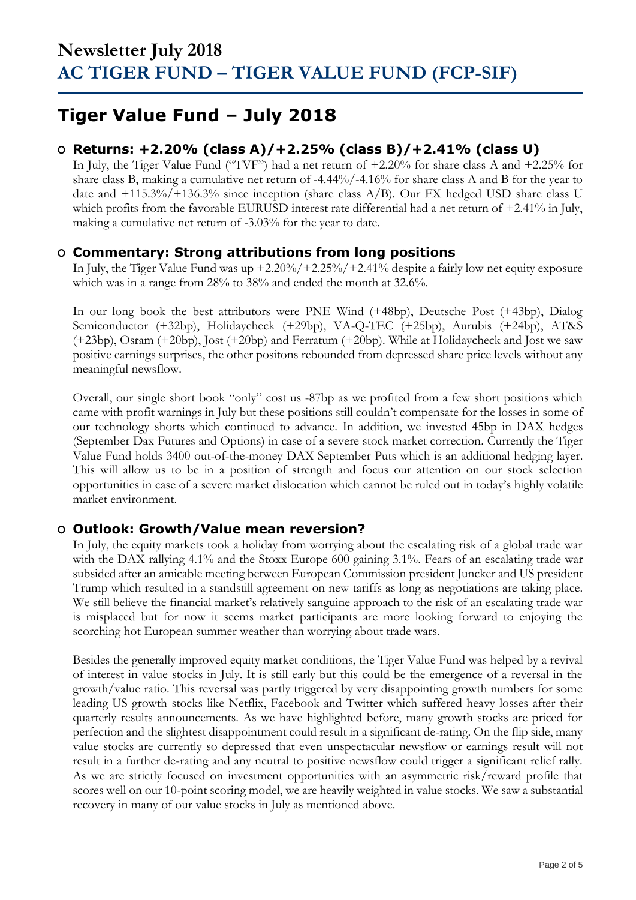## **Tiger Value Fund – July 2018**

### **O Returns: +2.20% (class A)/+2.25% (class B)/+2.41% (class U)**

In July, the Tiger Value Fund ("TVF") had a net return of +2.20% for share class A and +2.25% for share class B, making a cumulative net return of -4.44%/-4.16% for share class A and B for the year to date and  $+115.3\%/+136.3\%$  since inception (share class A/B). Our FX hedged USD share class U which profits from the favorable EURUSD interest rate differential had a net return of +2.41% in July, making a cumulative net return of -3.03% for the year to date.

### **O Commentary: Strong attributions from long positions**

In July, the Tiger Value Fund was up +2.20%/+2.25%/+2.41% despite a fairly low net equity exposure which was in a range from 28% to 38% and ended the month at 32.6%.

In our long book the best attributors were PNE Wind (+48bp), Deutsche Post (+43bp), Dialog Semiconductor (+32bp), Holidaycheck (+29bp), VA-Q-TEC (+25bp), Aurubis (+24bp), AT&S (+23bp), Osram (+20bp), Jost (+20bp) and Ferratum (+20bp). While at Holidaycheck and Jost we saw positive earnings surprises, the other positons rebounded from depressed share price levels without any meaningful newsflow.

Overall, our single short book "only" cost us -87bp as we profited from a few short positions which came with profit warnings in July but these positions still couldn't compensate for the losses in some of our technology shorts which continued to advance. In addition, we invested 45bp in DAX hedges (September Dax Futures and Options) in case of a severe stock market correction. Currently the Tiger Value Fund holds 3400 out-of-the-money DAX September Puts which is an additional hedging layer. This will allow us to be in a position of strength and focus our attention on our stock selection opportunities in case of a severe market dislocation which cannot be ruled out in today's highly volatile market environment.

### **O Outlook: Growth/Value mean reversion?**

In July, the equity markets took a holiday from worrying about the escalating risk of a global trade war with the DAX rallying 4.1% and the Stoxx Europe 600 gaining 3.1%. Fears of an escalating trade war subsided after an amicable meeting between European Commission president Juncker and US president Trump which resulted in a standstill agreement on new tariffs as long as negotiations are taking place. We still believe the financial market's relatively sanguine approach to the risk of an escalating trade war is misplaced but for now it seems market participants are more looking forward to enjoying the scorching hot European summer weather than worrying about trade wars.

Besides the generally improved equity market conditions, the Tiger Value Fund was helped by a revival of interest in value stocks in July. It is still early but this could be the emergence of a reversal in the growth/value ratio. This reversal was partly triggered by very disappointing growth numbers for some leading US growth stocks like Netflix, Facebook and Twitter which suffered heavy losses after their quarterly results announcements. As we have highlighted before, many growth stocks are priced for perfection and the slightest disappointment could result in a significant de-rating. On the flip side, many value stocks are currently so depressed that even unspectacular newsflow or earnings result will not result in a further de-rating and any neutral to positive newsflow could trigger a significant relief rally. As we are strictly focused on investment opportunities with an asymmetric risk/reward profile that scores well on our 10-point scoring model, we are heavily weighted in value stocks. We saw a substantial recovery in many of our value stocks in July as mentioned above.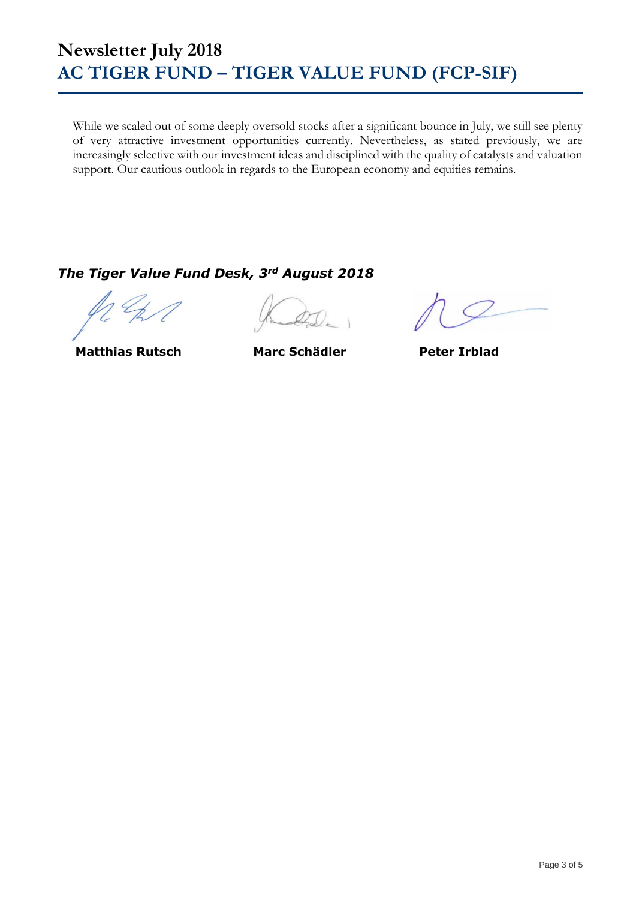While we scaled out of some deeply oversold stocks after a significant bounce in July, we still see plenty of very attractive investment opportunities currently. Nevertheless, as stated previously, we are increasingly selective with our investment ideas and disciplined with the quality of catalysts and valuation support. Our cautious outlook in regards to the European economy and equities remains.

### *The Tiger Value Fund Desk, 3rd August 2018*

**Matthias Rutsch Marc Schädler Peter Irblad**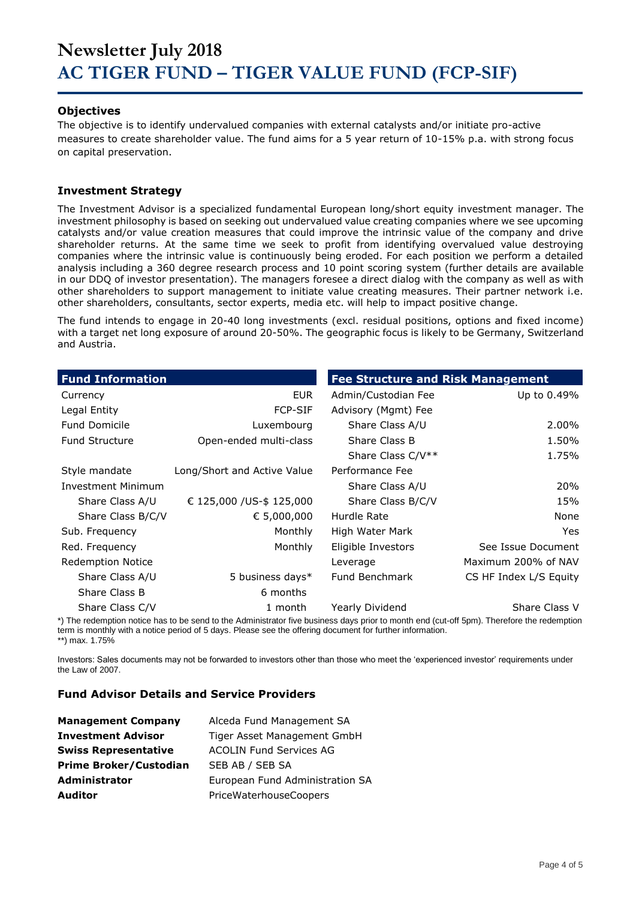#### **Objectives**

The objective is to identify undervalued companies with external catalysts and/or initiate pro-active measures to create shareholder value. The fund aims for a 5 year return of 10-15% p.a. with strong focus on capital preservation.

#### **Investment Strategy**

The Investment Advisor is a specialized fundamental European long/short equity investment manager. The investment philosophy is based on seeking out undervalued value creating companies where we see upcoming catalysts and/or value creation measures that could improve the intrinsic value of the company and drive shareholder returns. At the same time we seek to profit from identifying overvalued value destroying companies where the intrinsic value is continuously being eroded. For each position we perform a detailed analysis including a 360 degree research process and 10 point scoring system (further details are available in our DDQ of investor presentation). The managers foresee a direct dialog with the company as well as with other shareholders to support management to initiate value creating measures. Their partner network i.e. other shareholders, consultants, sector experts, media etc. will help to impact positive change.

The fund intends to engage in 20-40 long investments (excl. residual positions, options and fixed income) with a target net long exposure of around 20-50%. The geographic focus is likely to be Germany, Switzerland and Austria.

| <b>Fund Information</b>   |                             | <b>Fee Structure and Risk Management</b> |                        |
|---------------------------|-----------------------------|------------------------------------------|------------------------|
| Currency                  | EUR.                        | Admin/Custodian Fee                      | Up to 0.49%            |
| Legal Entity              | <b>FCP-SIF</b>              | Advisory (Mgmt) Fee                      |                        |
| <b>Fund Domicile</b>      | Luxembourg                  | Share Class A/U                          | 2.00%                  |
| <b>Fund Structure</b>     | Open-ended multi-class      | Share Class B                            | 1.50%                  |
|                           |                             | Share Class C/V**                        | 1.75%                  |
| Style mandate             | Long/Short and Active Value | Performance Fee                          |                        |
| <b>Investment Minimum</b> |                             | Share Class A/U                          | 20%                    |
| Share Class A/U           | € 125,000 / US-\$ 125,000   | Share Class B/C/V                        | 15%                    |
| Share Class B/C/V         | € 5,000,000                 | Hurdle Rate                              | None                   |
| Sub. Frequency            | Monthly                     | High Water Mark                          | <b>Yes</b>             |
| Red. Frequency            | Monthly                     | Eligible Investors                       | See Issue Document     |
| <b>Redemption Notice</b>  |                             | Leverage                                 | Maximum 200% of NAV    |
| Share Class A/U           | 5 business days*            | Fund Benchmark                           | CS HF Index L/S Equity |
| Share Class B             | 6 months                    |                                          |                        |
| Share Class C/V           | 1 month                     | Yearly Dividend                          | Share Class V          |

\*) The redemption notice has to be send to the Administrator five business days prior to month end (cut-off 5pm). Therefore the redemption term is monthly with a notice period of 5 days. Please see the offering document for further information. \*\*) max. 1.75%

Investors: Sales documents may not be forwarded to investors other than those who meet the 'experienced investor' requirements under the Law of 2007.

#### **Fund Advisor Details and Service Providers**

| <b>Management Company</b>     | Alceda Fund Management SA       |
|-------------------------------|---------------------------------|
| <b>Investment Advisor</b>     | Tiger Asset Management GmbH     |
| <b>Swiss Representative</b>   | <b>ACOLIN Fund Services AG</b>  |
| <b>Prime Broker/Custodian</b> | SEB AB / SEB SA                 |
| <b>Administrator</b>          | European Fund Administration SA |
| <b>Auditor</b>                | PriceWaterhouseCoopers          |